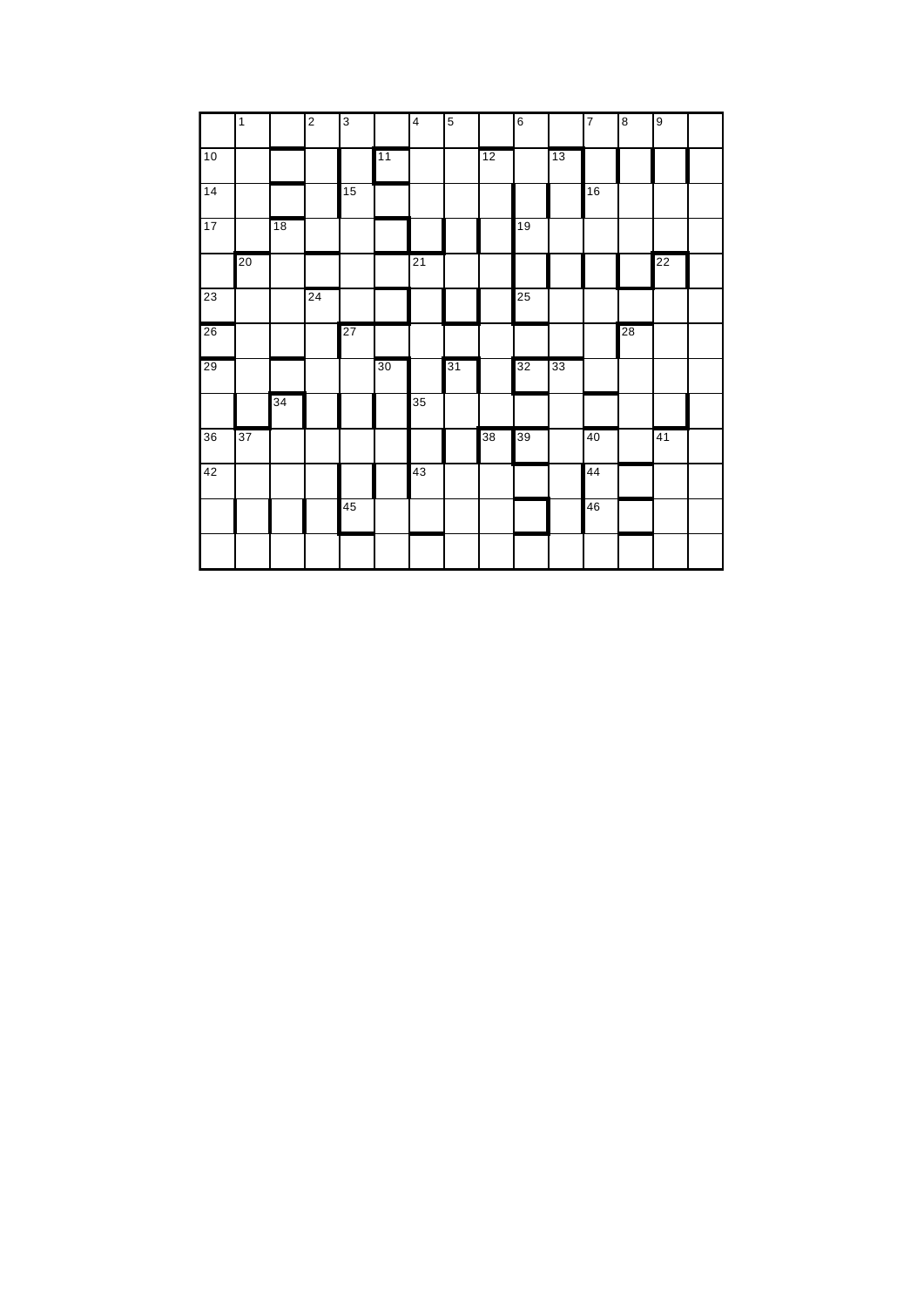|    | $\mathbf{1}$ |    | $\overline{2}$ | $\mathbf{3}$ |    | $\overline{4}$ | $\sqrt{5}$ |    | $\,6$ |    | $\overline{7}$ | $\bf8$ | $\boldsymbol{9}$ |  |
|----|--------------|----|----------------|--------------|----|----------------|------------|----|-------|----|----------------|--------|------------------|--|
| 10 |              |    |                |              | 11 |                |            | 12 |       | 13 |                |        |                  |  |
| 14 |              |    |                | 15           |    |                |            |    |       |    | 16             |        |                  |  |
| 17 |              | 18 |                |              |    |                |            |    | 19    |    |                |        |                  |  |
|    | 20           |    |                |              |    | 21             |            |    |       |    |                |        | 22               |  |
| 23 |              |    | 24             |              |    |                |            |    | 25    |    |                |        |                  |  |
| 26 |              |    |                | 27           |    |                |            |    |       |    |                | 28     |                  |  |
| 29 |              |    |                |              | 30 |                | 31         |    | 32    | 33 |                |        |                  |  |
|    |              | 34 |                |              |    | 35             |            |    |       |    |                |        |                  |  |
| 36 | 37           |    |                |              |    |                |            | 38 | 39    |    | 40             |        | 41               |  |
| 42 |              |    |                |              |    | 43             |            |    |       |    | 44             |        |                  |  |
|    |              |    |                | 45           |    |                |            |    |       |    | 46             |        |                  |  |
|    |              |    |                |              |    |                |            |    |       |    |                |        |                  |  |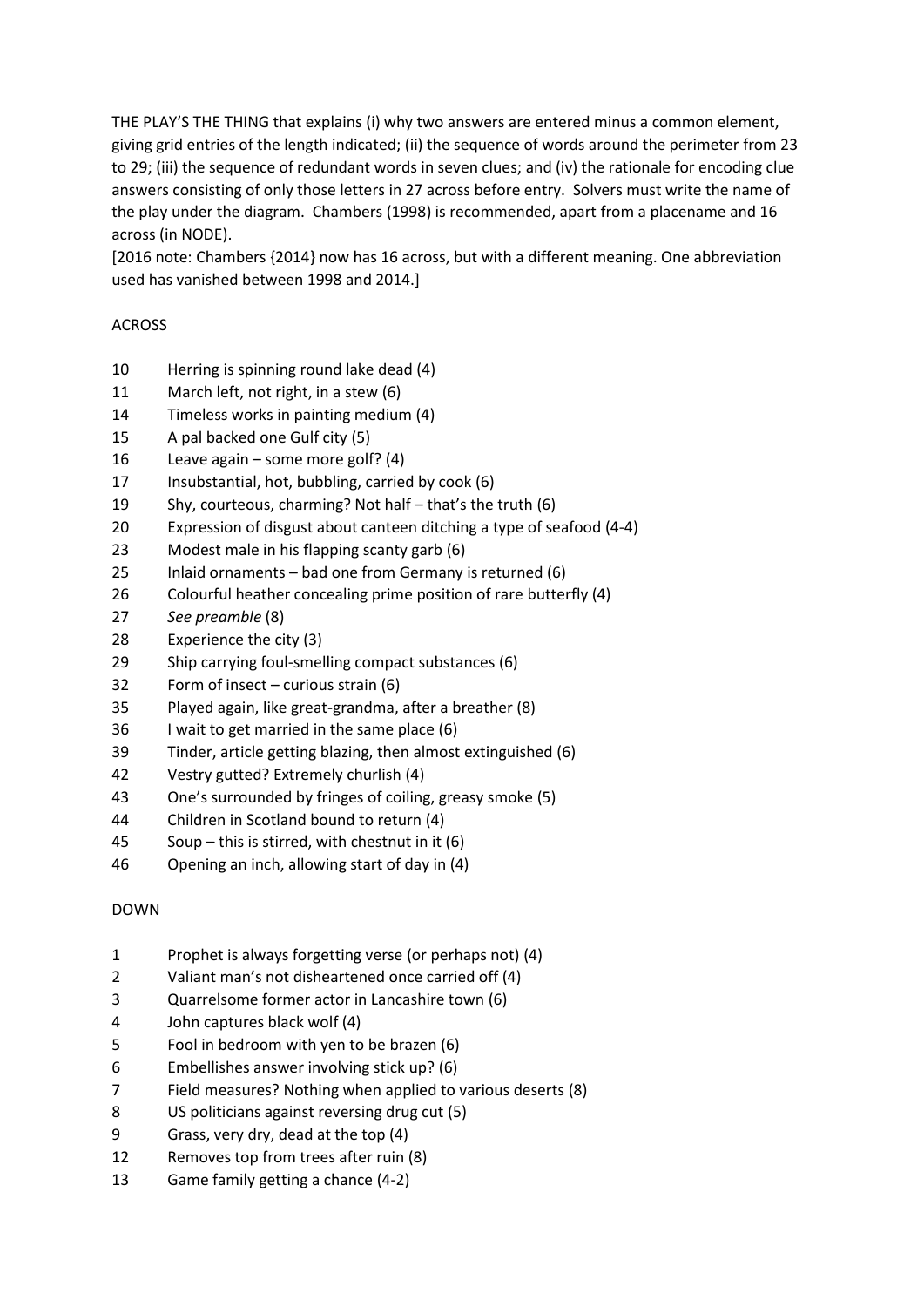THE PLAY'S THE THING that explains (i) why two answers are entered minus a common element, giving grid entries of the length indicated; (ii) the sequence of words around the perimeter from 23 to 29; (iii) the sequence of redundant words in seven clues; and (iv) the rationale for encoding clue answers consisting of only those letters in 27 across before entry. Solvers must write the name of the play under the diagram. Chambers (1998) is recommended, apart from a placename and 16 across (in NODE).

[2016 note: Chambers {2014} now has 16 across, but with a different meaning. One abbreviation used has vanished between 1998 and 2014.]

## ACROSS

- Herring is spinning round lake dead (4)
- March left, not right, in a stew (6)
- Timeless works in painting medium (4)
- A pal backed one Gulf city (5)
- Leave again some more golf? (4)
- Insubstantial, hot, bubbling, carried by cook (6)
- Shy, courteous, charming? Not half that's the truth (6)
- Expression of disgust about canteen ditching a type of seafood (4-4)
- Modest male in his flapping scanty garb (6)
- Inlaid ornaments bad one from Germany is returned (6)
- 26 Colourful heather concealing prime position of rare butterfly (4)
- *See preamble* (8)
- Experience the city (3)
- Ship carrying foul-smelling compact substances (6)
- Form of insect curious strain (6)
- Played again, like great-grandma, after a breather (8)
- I wait to get married in the same place (6)
- Tinder, article getting blazing, then almost extinguished (6)
- Vestry gutted? Extremely churlish (4)
- One's surrounded by fringes of coiling, greasy smoke (5)
- Children in Scotland bound to return (4)
- Soup this is stirred, with chestnut in it (6)
- Opening an inch, allowing start of day in (4)

## DOWN

- Prophet is always forgetting verse (or perhaps not) (4)
- Valiant man's not disheartened once carried off (4)
- Quarrelsome former actor in Lancashire town (6)
- John captures black wolf (4)
- Fool in bedroom with yen to be brazen (6)
- Embellishes answer involving stick up? (6)
- Field measures? Nothing when applied to various deserts (8)
- US politicians against reversing drug cut (5)
- Grass, very dry, dead at the top (4)
- Removes top from trees after ruin (8)
- Game family getting a chance (4-2)